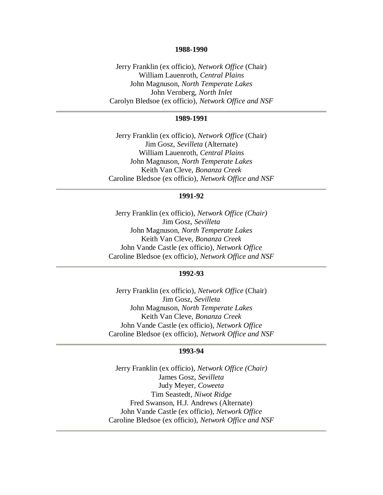#### **1988-1990**

Jerry Franklin (ex officio), *Network Office* (Chair) William Lauenroth, *Central Plains* John Magnuson, *North Temperate Lakes* John Vernberg, *North Inlet* Carolyn Bledsoe (ex officio), *Network Office and NSF*

## **1989-1991**

Jerry Franklin (ex officio), *Network Office* (Chair) Jim Gosz, *Sevilleta* (Alternate) William Lauenroth, *Central Plains*  John Magnuson, *North Temperate Lakes* Keith Van Cleve, *Bonanza Creek* Caroline Bledsoe (ex officio), *Network Office and NSF*

# **1991-92**

Jerry Franklin (ex officio), *Network Office (Chair)* Jim Gosz, *Sevilleta* John Magnuson, *North Temperate Lakes* Keith Van Cleve, *Bonanza Creek* John Vande Castle (ex officio), *Network Office* Caroline Bledsoe (ex officio), *Network Office and NSF*

### **1992-93**

Jerry Franklin (ex officio), *Network Office* (Chair) Jim Gosz, *Sevilleta* John Magnuson, *North Temperate Lakes* Keith Van Cleve, *Bonanza Creek* John Vande Castle (ex officio), *Network Office* Caroline Bledsoe (ex officio), *Network Office and NSF*

## **1993-94**

Jerry Franklin (ex officio), *Network Office (Chair)* James Gosz, *Sevilleta* Judy Meyer, *Coweeta* Tim Seastedt, *Niwot Ridge* Fred Swanson, H.J. Andrews (Alternate) John Vande Castle (ex officio), *Network Office* Caroline Bledsoe (ex officio), *Network Office and NSF*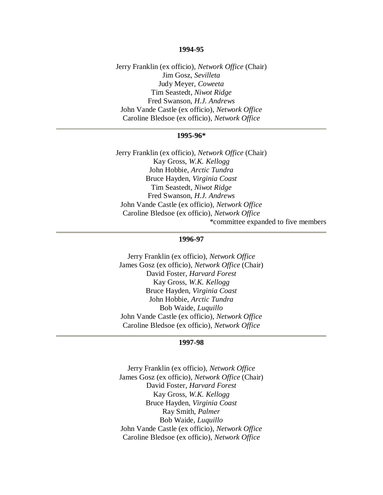#### **1994-95**

Jerry Franklin (ex officio), *Network Office* (Chair) Jim Gosz, *Sevilleta* Judy Meyer, *Coweeta* Tim Seastedt, *Niwot Ridge* Fred Swanson, *H.J. Andrews* John Vande Castle (ex officio), *Network Office* Caroline Bledsoe (ex officio), *Network Office*

## **1995-96\***

Jerry Franklin (ex officio), *Network Office* (Chair) Kay Gross, *W.K. Kellogg* John Hobbie, *Arctic Tundra* Bruce Hayden, *Virginia Coast* Tim Seastedt, *Niwot Ridge* Fred Swanson, *H.J. Andrews* John Vande Castle (ex officio), *Network Office* Caroline Bledsoe (ex officio), *Network Office* \*committee expanded to five members

#### **1996-97**

Jerry Franklin (ex officio), *Network Office* James Gosz (ex officio), *Network Office* (Chair) David Foster, *Harvard Forest* Kay Gross, *W.K. Kellogg* Bruce Hayden, *Virginia Coast* John Hobbie, *Arctic Tundra* Bob Waide, *Luquillo* John Vande Castle (ex officio), *Network Office* Caroline Bledsoe (ex officio), *Network Office*

### **1997-98**

Jerry Franklin (ex officio), *Network Office* James Gosz (ex officio), *Network Office* (Chair) David Foster, *Harvard Forest* Kay Gross, *W.K. Kellogg* Bruce Hayden, *Virginia Coast* Ray Smith, *Palmer* Bob Waide, *Luquillo* John Vande Castle (ex officio), *Network Office* Caroline Bledsoe (ex officio), *Network Office*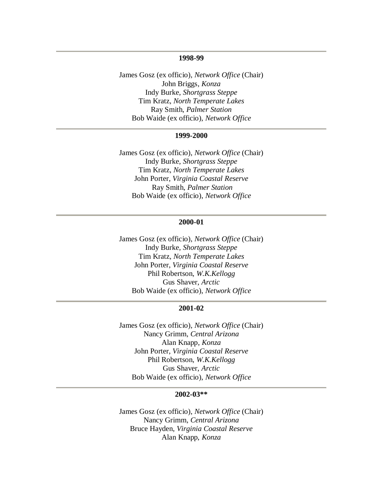## **1998-99**

James Gosz (ex officio), *Network Office* (Chair) John Briggs, *Konza* Indy Burke, *Shortgrass Steppe* Tim Kratz, *North Temperate Lakes* Ray Smith, *Palmer Station* Bob Waide (ex officio), *Network Office*

### **1999-2000**

James Gosz (ex officio), *Network Office* (Chair) Indy Burke, *Shortgrass Steppe* Tim Kratz, *North Temperate Lakes* John Porter, *Virginia Coastal Reserve* Ray Smith, *Palmer Station* Bob Waide (ex officio), *Network Office*

## **2000-01**

James Gosz (ex officio), *Network Office* (Chair) Indy Burke, *Shortgrass Steppe* Tim Kratz, *North Temperate Lakes* John Porter, *Virginia Coastal Reserve* Phil Robertson, *W.K.Kellogg* Gus Shaver, *Arctic* Bob Waide (ex officio), *Network Office*

#### **2001-02**

James Gosz (ex officio), *Network Office* (Chair) Nancy Grimm, *Central Arizona* Alan Knapp, *Konza* John Porter, *Virginia Coastal Reserve* Phil Robertson, *W.K.Kellogg* Gus Shaver, *Arctic* Bob Waide (ex officio), *Network Office*

#### **2002-03\*\***

James Gosz (ex officio), *Network Office* (Chair) Nancy Grimm, *Central Arizona* Bruce Hayden, *Virginia Coastal Reserve* Alan Knapp, *Konza*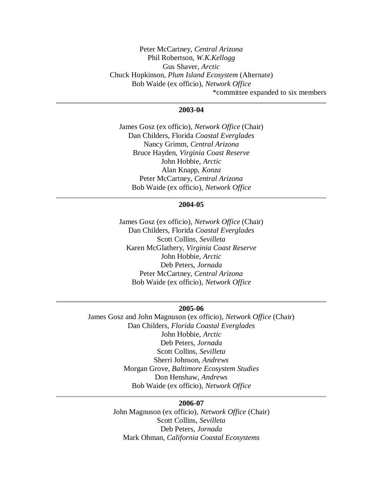Peter McCartney, *Central Arizona* Phil Robertson, *W.K.Kellogg* Gus Shaver, *Arctic* Chuck Hopkinson, *Plum Island Ecosystem* (Alternate) Bob Waide (ex officio), *Network Office* \*committee expanded to six members

## **2003-04**

James Gosz (ex officio), *Network Office* (Chair) Dan Childers, Florida *Coastal Everglades* Nancy Grimm, *Central Arizona* Bruce Hayden, *Virginia Coast Reserve* John Hobbie, *Arctic* Alan Knapp, *Konza* Peter McCartney, *Central Arizona* Bob Waide (ex officio), *Network Office*

#### **2004-05**

James Gosz (ex officio), *Network Office* (Chair) Dan Childers, Florida *Coastal Everglades* Scott Collins, *Sevilleta* Karen McGlathery, *Virginia Coast Reserve* John Hobbie, *Arctic* Deb Peters, *Jornada* Peter McCartney, *Central Arizona* Bob Waide (ex officio), *Network Office*

#### **2005-06**

James Gosz and John Magnuson (ex officio), *Network Office* (Chair) Dan Childers, *Florida Coastal Everglades* John Hobbie, *Arctic* Deb Peters, *Jornada* Scott Collins, *Sevilleta* Sherri Johnson, *Andrews* Morgan Grove, *Baltimore Ecosystem Studies* Don Henshaw, *Andrews* Bob Waide (ex officio), *Network Office*

# **2006-07**

John Magnuson (ex officio), *Network Office* (Chair) Scott Collins, *Sevilleta* Deb Peters, *Jornada* Mark Ohman, *California Coastal Ecosystems*